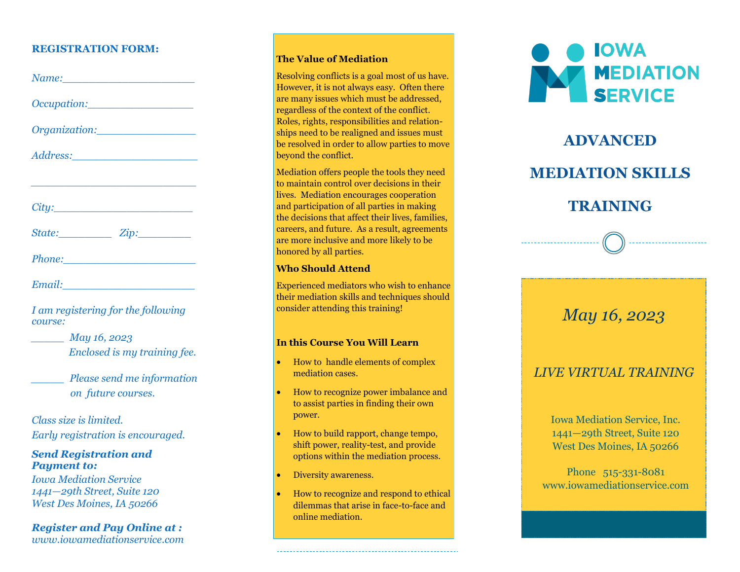### **REGISTRATION FORM:**

| <u> 1989 - Andrea Aonaichte, ann an t-Aonaichte ann an t-Aonaichte ann an t-Aonaichte ann an t-Aonaichte ann an t-</u> |  |
|------------------------------------------------------------------------------------------------------------------------|--|
|                                                                                                                        |  |
| State: Zip:                                                                                                            |  |
|                                                                                                                        |  |
|                                                                                                                        |  |

*I am registering for the following course:*

*\_\_\_\_\_ May 16, 2023 Enclosed is my training fee.*

*\_\_\_\_\_ Please send me information on future courses.*

*Class size is limited. Early registration is encouraged.*

### *Send Registration and Payment to:*

*Iowa Mediation Service 1441 —29th Street, Suite 120 West Des Moines, IA 50266*

*Register and Pay Online at : www.iowamediationservice.com*

#### **The Value of Mediation**

Resolving conflicts is a goal most of us have. However, it is not always easy. Often there are many issues which must be addressed, regardless of the context of the conflict. Roles, rights, responsibilities and relationships need to be realigned and issues must be resolved in order to allow parties to move beyond the conflict.

Mediation offers people the tools they need to maintain control over decisions in their lives. Mediation encourages cooperation and participation of all parties in making the decisions that affect their lives, families, careers, and future. As a result, agreements are more inclusive and more likely to be honored by all parties.

#### **Who Should Attend**

Experienced mediators who wish to enhance their mediation skills and techniques should consider attending this training!

#### **In this Course You Will Learn**

- How to handle elements of complex mediation cases.
- How to recognize power imbalance and to assist parties in finding their own power.
- How to build rapport, change tempo, shift power, reality -test, and provide options within the mediation process.
- Diversity awareness.
- How to recognize and respond to ethical dilemmas that arise in face -to -face and online mediation.



# **ADVANCED MEDIATION SKILLS**

### **TRAINING**

### *May 16, 2023*

### *LIVE VIRTUAL TRAINING*

Iowa Mediation Service, Inc. 1441 —29th Street, Suite 120 West Des Moines, IA 50266

Phone 515-331-8081 www.iowamediationservice.com